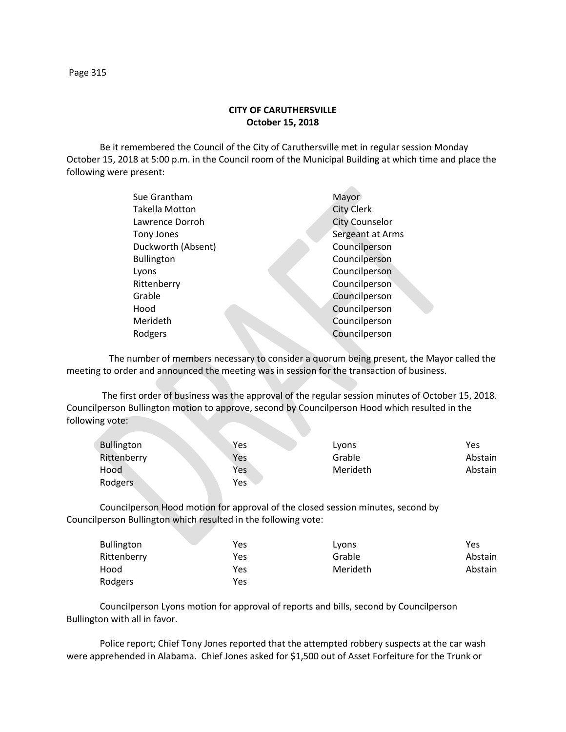## **CITY OF CARUTHERSVILLE October 15, 2018**

Be it remembered the Council of the City of Caruthersville met in regular session Monday October 15, 2018 at 5:00 p.m. in the Council room of the Municipal Building at which time and place the following were present:

| Sue Grantham       | Mayor                 |
|--------------------|-----------------------|
| Takella Motton     | <b>City Clerk</b>     |
| Lawrence Dorroh    | <b>City Counselor</b> |
| Tony Jones         | Sergeant at Arms      |
| Duckworth (Absent) | Councilperson         |
| <b>Bullington</b>  | Councilperson         |
| Lyons              | Councilperson         |
| Rittenberry        | Councilperson         |
| Grable             | Councilperson         |
| Hood               | Councilperson         |
| Merideth           | Councilperson         |
| Rodgers            | Councilperson         |
|                    |                       |

 The number of members necessary to consider a quorum being present, the Mayor called the meeting to order and announced the meeting was in session for the transaction of business.

The first order of business was the approval of the regular session minutes of October 15, 2018. Councilperson Bullington motion to approve, second by Councilperson Hood which resulted in the following vote:

| <b>Bullington</b> | Yes | Lyons    | Yes     |
|-------------------|-----|----------|---------|
| Rittenberry       | Yes | Grable   | Abstain |
| Hood              | Yes | Merideth | Abstain |
| Rodgers           | Yes |          |         |

Councilperson Hood motion for approval of the closed session minutes, second by Councilperson Bullington which resulted in the following vote:

| <b>Bullington</b> | Yes | Lyons    | Yes     |
|-------------------|-----|----------|---------|
| Rittenberry       | Yes | Grable   | Abstain |
| Hood              | Yes | Merideth | Abstain |
| Rodgers           | Yes |          |         |

Councilperson Lyons motion for approval of reports and bills, second by Councilperson Bullington with all in favor.

Police report; Chief Tony Jones reported that the attempted robbery suspects at the car wash were apprehended in Alabama. Chief Jones asked for \$1,500 out of Asset Forfeiture for the Trunk or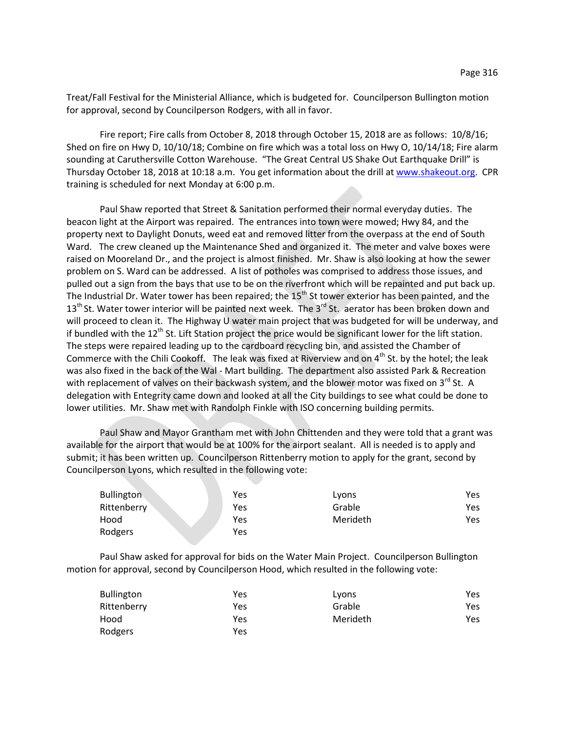Treat/Fall Festival for the Ministerial Alliance, which is budgeted for. Councilperson Bullington motion for approval, second by Councilperson Rodgers, with all in favor.

Fire report; Fire calls from October 8, 2018 through October 15, 2018 are as follows: 10/8/16; Shed on fire on Hwy D, 10/10/18; Combine on fire which was a total loss on Hwy O, 10/14/18; Fire alarm sounding at Caruthersville Cotton Warehouse. "The Great Central US Shake Out Earthquake Drill" is Thursday October 18, 2018 at 10:18 a.m. You get information about the drill at [www.shakeout.org.](http://www.shakeout.org/) CPR training is scheduled for next Monday at 6:00 p.m.

Paul Shaw reported that Street & Sanitation performed their normal everyday duties. The beacon light at the Airport was repaired. The entrances into town were mowed; Hwy 84, and the property next to Daylight Donuts, weed eat and removed litter from the overpass at the end of South Ward. The crew cleaned up the Maintenance Shed and organized it. The meter and valve boxes were raised on Mooreland Dr., and the project is almost finished. Mr. Shaw is also looking at how the sewer problem on S. Ward can be addressed. A list of potholes was comprised to address those issues, and pulled out a sign from the bays that use to be on the riverfront which will be repainted and put back up. The Industrial Dr. Water tower has been repaired; the 15<sup>th</sup> St tower exterior has been painted, and the 13<sup>th</sup> St. Water tower interior will be painted next week. The 3<sup>rd</sup> St. aerator has been broken down and will proceed to clean it. The Highway U water main project that was budgeted for will be underway, and if bundled with the  $12<sup>th</sup>$  St. Lift Station project the price would be significant lower for the lift station. The steps were repaired leading up to the cardboard recycling bin, and assisted the Chamber of Commerce with the Chili Cookoff. The leak was fixed at Riverview and on  $4<sup>th</sup>$  St. by the hotel; the leak was also fixed in the back of the Wal - Mart building. The department also assisted Park & Recreation with replacement of valves on their backwash system, and the blower motor was fixed on  $3<sup>rd</sup>$  St. A delegation with Entegrity came down and looked at all the City buildings to see what could be done to lower utilities. Mr. Shaw met with Randolph Finkle with ISO concerning building permits.

Paul Shaw and Mayor Grantham met with John Chittenden and they were told that a grant was available for the airport that would be at 100% for the airport sealant. All is needed is to apply and submit; it has been written up. Councilperson Rittenberry motion to apply for the grant, second by Councilperson Lyons, which resulted in the following vote:

| <b>Bullington</b> | Yes | Lyons    | Yes  |
|-------------------|-----|----------|------|
| Rittenberry       | Yes | Grable   | Yes  |
| Hood              | Yes | Merideth | Yes. |
| Rodgers           | Yes |          |      |

Paul Shaw asked for approval for bids on the Water Main Project. Councilperson Bullington motion for approval, second by Councilperson Hood, which resulted in the following vote:

| <b>Bullington</b> | Yes | Lyons    | Yes  |
|-------------------|-----|----------|------|
| Rittenberry       | Yes | Grable   | Yes. |
| Hood              | Yes | Merideth | Yes  |
| Rodgers           | Yes |          |      |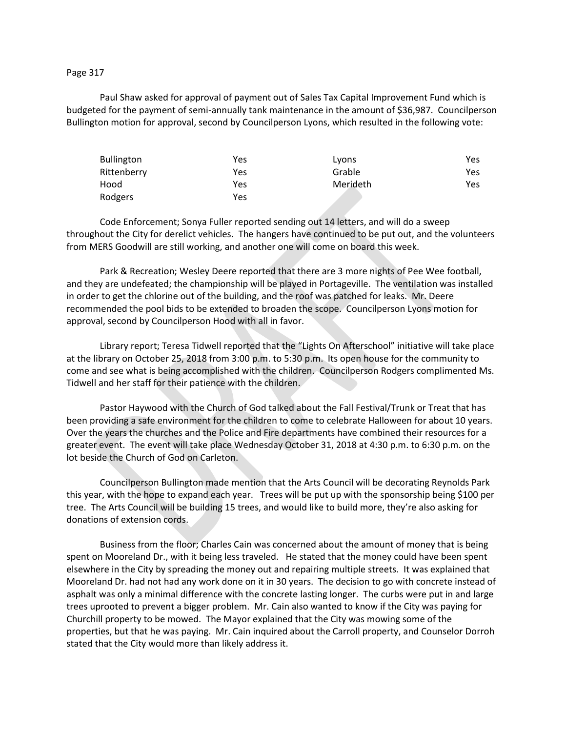## Page 317

Paul Shaw asked for approval of payment out of Sales Tax Capital Improvement Fund which is budgeted for the payment of semi-annually tank maintenance in the amount of \$36,987. Councilperson Bullington motion for approval, second by Councilperson Lyons, which resulted in the following vote:

| <b>Bullington</b> | Yes | Lyons    | Yes  |
|-------------------|-----|----------|------|
| Rittenberry       | Yes | Grable   | Yes. |
| Hood              | Yes | Merideth | Yes  |
| Rodgers           | Yes |          |      |

Code Enforcement; Sonya Fuller reported sending out 14 letters, and will do a sweep throughout the City for derelict vehicles. The hangers have continued to be put out, and the volunteers from MERS Goodwill are still working, and another one will come on board this week.

Park & Recreation; Wesley Deere reported that there are 3 more nights of Pee Wee football, and they are undefeated; the championship will be played in Portageville. The ventilation was installed in order to get the chlorine out of the building, and the roof was patched for leaks. Mr. Deere recommended the pool bids to be extended to broaden the scope. Councilperson Lyons motion for approval, second by Councilperson Hood with all in favor.

Library report; Teresa Tidwell reported that the "Lights On Afterschool" initiative will take place at the library on October 25, 2018 from 3:00 p.m. to 5:30 p.m. Its open house for the community to come and see what is being accomplished with the children. Councilperson Rodgers complimented Ms. Tidwell and her staff for their patience with the children.

Pastor Haywood with the Church of God talked about the Fall Festival/Trunk or Treat that has been providing a safe environment for the children to come to celebrate Halloween for about 10 years. Over the years the churches and the Police and Fire departments have combined their resources for a greater event. The event will take place Wednesday October 31, 2018 at 4:30 p.m. to 6:30 p.m. on the lot beside the Church of God on Carleton.

Councilperson Bullington made mention that the Arts Council will be decorating Reynolds Park this year, with the hope to expand each year. Trees will be put up with the sponsorship being \$100 per tree. The Arts Council will be building 15 trees, and would like to build more, they're also asking for donations of extension cords.

Business from the floor; Charles Cain was concerned about the amount of money that is being spent on Mooreland Dr., with it being less traveled. He stated that the money could have been spent elsewhere in the City by spreading the money out and repairing multiple streets. It was explained that Mooreland Dr. had not had any work done on it in 30 years. The decision to go with concrete instead of asphalt was only a minimal difference with the concrete lasting longer. The curbs were put in and large trees uprooted to prevent a bigger problem. Mr. Cain also wanted to know if the City was paying for Churchill property to be mowed. The Mayor explained that the City was mowing some of the properties, but that he was paying. Mr. Cain inquired about the Carroll property, and Counselor Dorroh stated that the City would more than likely address it.